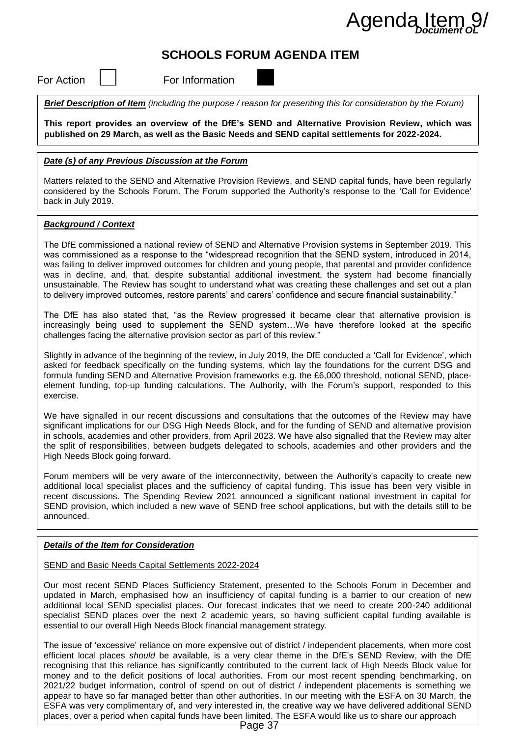# Agenda Item

# **SCHOOLS FORUM AGENDA ITEM**

For Action  $\vert \ \vert$  For Information

*Brief Description of Item (including the purpose / reason for presenting this for consideration by the Forum)*

**This report provides an overview of the DfE's SEND and Alternative Provision Review, which was published on 29 March, as well as the Basic Needs and SEND capital settlements for 2022-2024.**

#### *Date (s) of any Previous Discussion at the Forum*

Matters related to the SEND and Alternative Provision Reviews, and SEND capital funds, have been regularly considered by the Schools Forum. The Forum supported the Authority's response to the 'Call for Evidence' back in July 2019.

#### *Background / Context*

The DfE commissioned a national review of SEND and Alternative Provision systems in September 2019. This was commissioned as a response to the "widespread recognition that the SEND system, introduced in 2014, was failing to deliver improved outcomes for children and young people, that parental and provider confidence was in decline, and, that, despite substantial additional investment, the system had become financially unsustainable. The Review has sought to understand what was creating these challenges and set out a plan to delivery improved outcomes, restore parents' and carers' confidence and secure financial sustainability."

The DfE has also stated that, "as the Review progressed it became clear that alternative provision is increasingly being used to supplement the SEND system…We have therefore looked at the specific challenges facing the alternative provision sector as part of this review."

Slightly in advance of the beginning of the review, in July 2019, the DfE conducted a 'Call for Evidence', which asked for feedback specifically on the funding systems, which lay the foundations for the current DSG and formula funding SEND and Alternative Provision frameworks e.g. the £6,000 threshold, notional SEND, placeelement funding, top-up funding calculations. The Authority, with the Forum's support, responded to this exercise.

We have signalled in our recent discussions and consultations that the outcomes of the Review may have significant implications for our DSG High Needs Block, and for the funding of SEND and alternative provision in schools, academies and other providers, from April 2023. We have also signalled that the Review may alter the split of responsibilities, between budgets delegated to schools, academies and other providers and the High Needs Block going forward.

Forum members will be very aware of the interconnectivity, between the Authority's capacity to create new additional local specialist places and the sufficiency of capital funding. This issue has been very visible in recent discussions. The Spending Review 2021 announced a significant national investment in capital for SEND provision, which included a new wave of SEND free school applications, but with the details still to be announced.

#### *Details of the Item for Consideration*

#### SEND and Basic Needs Capital Settlements 2022-2024

Our most recent SEND Places Sufficiency Statement, presented to the Schools Forum in December and updated in March, emphasised how an insufficiency of capital funding is a barrier to our creation of new additional local SEND specialist places. Our forecast indicates that we need to create 200-240 additional specialist SEND places over the next 2 academic years, so having sufficient capital funding available is essential to our overall High Needs Block financial management strategy.

The issue of 'excessive' reliance on more expensive out of district / independent placements, when more cost efficient local places *should* be available, is a very clear theme in the DfE's SEND Review, with the DfE recognising that this reliance has significantly contributed to the current lack of High Needs Block value for money and to the deficit positions of local authorities. From our most recent spending benchmarking, on 2021/22 budget information, control of spend on out of district / independent placements is something we appear to have so far managed better than other authorities. In our meeting with the ESFA on 30 March, the ESFA was very complimentary of, and very interested in, the creative way we have delivered additional SEND places, over a period when capital funds have been limited. The ESFA would like us to share our approach A GENDA ITEM AGENDA ITEM SURFACT CONDITION CONDITION CONSIDERAT TO THE SERVER AND THE STATE TO THE STATE TO THE STATE TO THE STATE TO THE STATE TO THE STATE TO THE STATE TO THE STATE TO THE STATE TO THE STATE TO THE STATE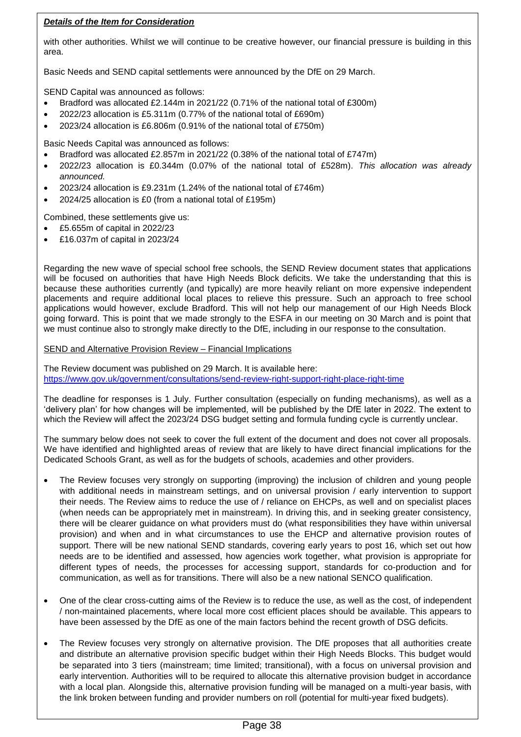# *Details of the Item for Consideration*

with other authorities. Whilst we will continue to be creative however, our financial pressure is building in this area.

Basic Needs and SEND capital settlements were announced by the DfE on 29 March.

SEND Capital was announced as follows:

- Bradford was allocated £2.144m in 2021/22 (0.71% of the national total of £300m)
- 2022/23 allocation is £5.311m (0.77% of the national total of £690m)
- 2023/24 allocation is £6.806m (0.91% of the national total of £750m)

Basic Needs Capital was announced as follows:

- Bradford was allocated £2.857m in 2021/22 (0.38% of the national total of £747m)
- 2022/23 allocation is £0.344m (0.07% of the national total of £528m). *This allocation was already announced.*
- 2023/24 allocation is £9.231m (1.24% of the national total of £746m)
- 2024/25 allocation is £0 (from a national total of £195m)

Combined, these settlements give us:

- £5.655m of capital in 2022/23
- £16.037m of capital in 2023/24

Regarding the new wave of special school free schools, the SEND Review document states that applications will be focused on authorities that have High Needs Block deficits. We take the understanding that this is because these authorities currently (and typically) are more heavily reliant on more expensive independent placements and require additional local places to relieve this pressure. Such an approach to free school applications would however, exclude Bradford. This will not help our management of our High Needs Block going forward. This is point that we made strongly to the ESFA in our meeting on 30 March and is point that we must continue also to strongly make directly to the DfE, including in our response to the consultation.

SEND and Alternative Provision Review – Financial Implications

The Review document was published on 29 March. It is available here: <https://www.gov.uk/government/consultations/send-review-right-support-right-place-right-time>

The deadline for responses is 1 July. Further consultation (especially on funding mechanisms), as well as a 'delivery plan' for how changes will be implemented, will be published by the DfE later in 2022. The extent to which the Review will affect the 2023/24 DSG budget setting and formula funding cycle is currently unclear.

The summary below does not seek to cover the full extent of the document and does not cover all proposals. We have identified and highlighted areas of review that are likely to have direct financial implications for the Dedicated Schools Grant, as well as for the budgets of schools, academies and other providers.

- The Review focuses very strongly on supporting (improving) the inclusion of children and young people with additional needs in mainstream settings, and on universal provision / early intervention to support their needs. The Review aims to reduce the use of / reliance on EHCPs, as well and on specialist places (when needs can be appropriately met in mainstream). In driving this, and in seeking greater consistency, there will be clearer guidance on what providers must do (what responsibilities they have within universal provision) and when and in what circumstances to use the EHCP and alternative provision routes of support. There will be new national SEND standards, covering early years to post 16, which set out how needs are to be identified and assessed, how agencies work together, what provision is appropriate for different types of needs, the processes for accessing support, standards for co-production and for communication, as well as for transitions. There will also be a new national SENCO qualification.
- One of the clear cross-cutting aims of the Review is to reduce the use, as well as the cost, of independent / non-maintained placements, where local more cost efficient places should be available. This appears to have been assessed by the DfE as one of the main factors behind the recent growth of DSG deficits.
- The Review focuses very strongly on alternative provision. The DfE proposes that all authorities create and distribute an alternative provision specific budget within their High Needs Blocks. This budget would be separated into 3 tiers (mainstream; time limited; transitional), with a focus on universal provision and early intervention. Authorities will to be required to allocate this alternative provision budget in accordance with a local plan. Alongside this, alternative provision funding will be managed on a multi-year basis, with the link broken between funding and provider numbers on roll (potential for multi-year fixed budgets).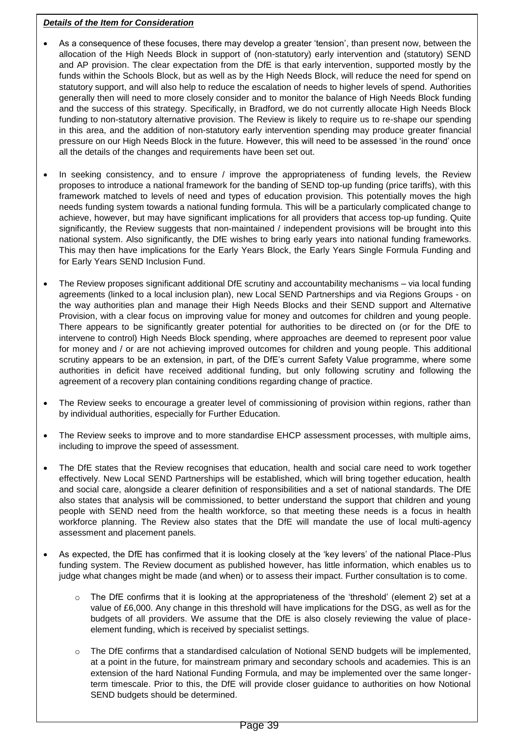### *Details of the Item for Consideration*

- As a consequence of these focuses, there may develop a greater 'tension', than present now, between the allocation of the High Needs Block in support of (non-statutory) early intervention and (statutory) SEND and AP provision. The clear expectation from the DfE is that early intervention, supported mostly by the funds within the Schools Block, but as well as by the High Needs Block, will reduce the need for spend on statutory support, and will also help to reduce the escalation of needs to higher levels of spend. Authorities generally then will need to more closely consider and to monitor the balance of High Needs Block funding and the success of this strategy. Specifically, in Bradford, we do not currently allocate High Needs Block funding to non-statutory alternative provision. The Review is likely to require us to re-shape our spending in this area, and the addition of non-statutory early intervention spending may produce greater financial pressure on our High Needs Block in the future. However, this will need to be assessed 'in the round' once all the details of the changes and requirements have been set out.
- In seeking consistency, and to ensure / improve the appropriateness of funding levels, the Review proposes to introduce a national framework for the banding of SEND top-up funding (price tariffs), with this framework matched to levels of need and types of education provision. This potentially moves the high needs funding system towards a national funding formula. This will be a particularly complicated change to achieve, however, but may have significant implications for all providers that access top-up funding. Quite significantly, the Review suggests that non-maintained / independent provisions will be brought into this national system. Also significantly, the DfE wishes to bring early years into national funding frameworks. This may then have implications for the Early Years Block, the Early Years Single Formula Funding and for Early Years SEND Inclusion Fund.
- The Review proposes significant additional DfE scrutiny and accountability mechanisms via local funding agreements (linked to a local inclusion plan), new Local SEND Partnerships and via Regions Groups - on the way authorities plan and manage their High Needs Blocks and their SEND support and Alternative Provision, with a clear focus on improving value for money and outcomes for children and young people. There appears to be significantly greater potential for authorities to be directed on (or for the DfE to intervene to control) High Needs Block spending, where approaches are deemed to represent poor value for money and / or are not achieving improved outcomes for children and young people. This additional scrutiny appears to be an extension, in part, of the DfE's current Safety Value programme, where some authorities in deficit have received additional funding, but only following scrutiny and following the agreement of a recovery plan containing conditions regarding change of practice.
- The Review seeks to encourage a greater level of commissioning of provision within regions, rather than by individual authorities, especially for Further Education.
- The Review seeks to improve and to more standardise EHCP assessment processes, with multiple aims, including to improve the speed of assessment.
- The DfE states that the Review recognises that education, health and social care need to work together effectively. New Local SEND Partnerships will be established, which will bring together education, health and social care, alongside a clearer definition of responsibilities and a set of national standards. The DfE also states that analysis will be commissioned, to better understand the support that children and young people with SEND need from the health workforce, so that meeting these needs is a focus in health workforce planning. The Review also states that the DfE will mandate the use of local multi-agency assessment and placement panels.
- As expected, the DfE has confirmed that it is looking closely at the 'key levers' of the national Place-Plus funding system. The Review document as published however, has little information, which enables us to judge what changes might be made (and when) or to assess their impact. Further consultation is to come.
	- The DfE confirms that it is looking at the appropriateness of the 'threshold' (element 2) set at a value of £6,000. Any change in this threshold will have implications for the DSG, as well as for the budgets of all providers. We assume that the DfE is also closely reviewing the value of placeelement funding, which is received by specialist settings.
	- $\circ$  The DfE confirms that a standardised calculation of Notional SEND budgets will be implemented, at a point in the future, for mainstream primary and secondary schools and academies. This is an extension of the hard National Funding Formula, and may be implemented over the same longerterm timescale. Prior to this, the DfE will provide closer guidance to authorities on how Notional SEND budgets should be determined.